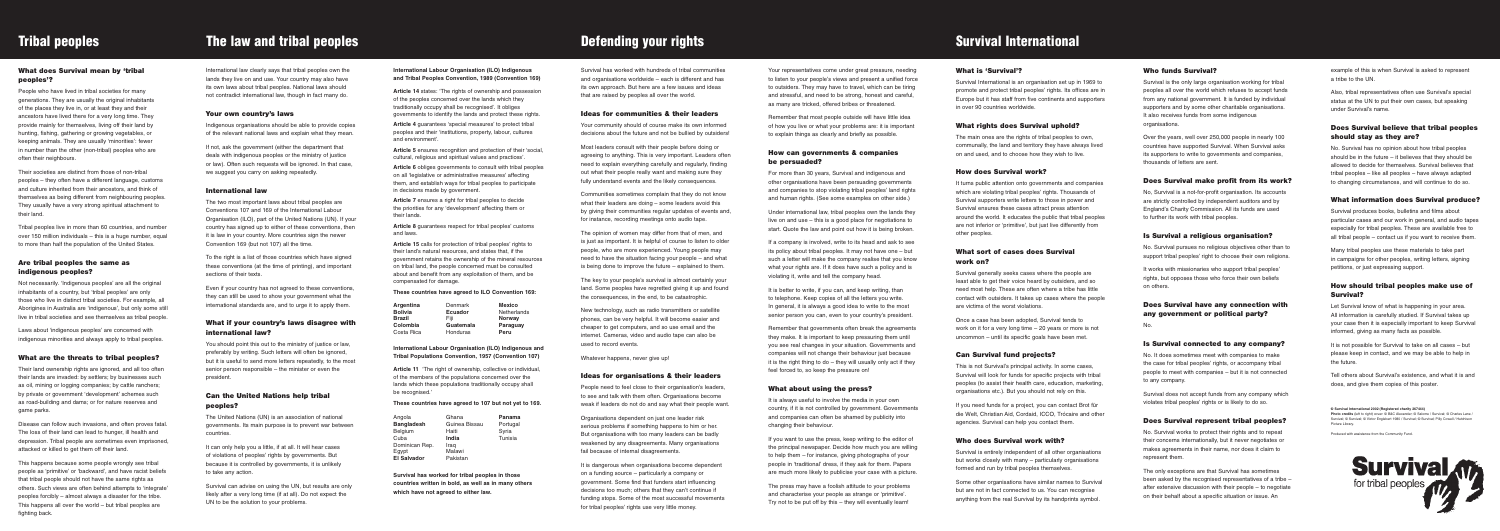# **Tribal peoples** The law and tribal peoples Defending your rights Survival International

### **International Labour Organisation (ILO) Indigenous and Tribal Peoples Convention, 1989 (Convention 169)**

**Article 14** states: 'The rights of ownership and possession of the peoples concerned over the lands which they traditionally occupy shall be recognised'. It obliges governments to identify the lands and protect these rights.

**Article 4** guarantees 'special measures' to protect tribal peoples and their 'institutions, property, labour, cultures and environment'.

**Article 5** ensures recognition and protection of their 'social, cultural, religious and spiritual values and practices'.

**Article 6** obliges governments to consult with tribal peoples on all 'legislative or administrative measures' affecting them, and establish ways for tribal peoples to participate in decisions made by government.

**Article 11** 'The right of ownership, collective or individual, of the members of the populations concerned over the lands which these populations traditionally occupy shall be recognised.'

**Article 7** ensures a right for tribal peoples to decide the priorities for any 'development' affecting them or their lands.

**Article 8** guarantees respect for tribal peoples' customs and laws.

**Article 15** calls for protection of tribal peoples' rights to their land's natural resources, and states that, if the government retains the ownership of the mineral resources on tribal land, the people concerned must be consulted about and benefit from any exploitation of them, and be compensated for damage.

### **These countries have agreed to ILO Convention 169:**

**International Labour Organisation (ILO) Indigenous and Tribal Populations Convention, 1957 (Convention 107)**

### **These countries have agreed to 107 but not yet to 169.**

**Survival has worked for tribal peoples in those countries written in bold, as well as in many others which have not agreed to either law.**

### **What does Survival mean by 'tribal peoples'?**

People who have lived in tribal societies for many generations. They are usually the original inhabitants of the places they live in, or at least they and their ancestors have lived there for a very long time. They provide mainly for themselves, living off their land by hunting, fishing, gathering or growing vegetables, or keeping animals. They are usually 'minorities': fewer in number than the other (non-tribal) peoples who are often their neighbours.

Their societies are distinct from those of non-tribal peoples – they often have a different language, customs and culture inherited from their ancestors, and think of themselves as being different from neighbouring peoples. They usually have a very strong spiritual attachment to their land.

Tribal peoples live in more than 60 countries, and number over 150 million individuals – this is a huge number, equal to more than half the population of the United States.

### **Are tribal peoples the same as indigenous peoples?**

Not necessarily. 'Indigenous peoples' are all the original inhabitants of a country, but 'tribal peoples' are only those who live in distinct tribal societies. For example, all Aborigines in Australia are 'indigenous', but only some still live in tribal societies and see themselves as tribal people.

> It can only help you a little, if at all. It will hear cases of violations of peoples' rights by governments. But because it is controlled by governments, it is unlikely to take any action.

Laws about 'indigenous peoples' are concerned with indigenous minorities and always apply to tribal peoples.

### **What are the threats to tribal peoples?**

Their land ownership rights are ignored, and all too often their lands are invaded: by settlers; by businesses such as oil, mining or logging companies; by cattle ranchers; by private or government 'development' schemes such as road-building and dams; or for nature reserves and game parks.

Disease can follow such invasions, and often proves fatal. The loss of their land can lead to hunger, ill health and depression. Tribal people are sometimes even imprisoned, attacked or killed to get them off their land.

This happens because some people wrongly see tribal people as 'primitive' or 'backward', and have racist beliefs that tribal people should not have the same rights as others. Such views are often behind attempts to 'integrate' peoples forcibly – almost always a disaster for the tribe. This happens all over the world – but tribal peoples are fighting back.

International law clearly says that tribal peoples own the lands they live on and use. Your country may also have its own laws about tribal peoples. National laws should not contradict international law, though in fact many do.

### **Your own country's laws**

Indigenous organisations should be able to provide copies of the relevant national laws and explain what they mean.

If not, ask the government (either the department that deals with indigenous peoples or the ministry of justice or law). Often such requests will be ignored. In that case, we suggest you carry on asking repeatedly.

### **International law**

The two most important laws about tribal peoples are Conventions 107 and 169 of the International Labour Organisation (ILO), part of the United Nations (UN). If your country has signed up to either of these conventions, then it is law in your country. More countries sign the newer Convention 169 (but not 107) all the time.

To the right is a list of those countries which have signed these conventions (at the time of printing), and important sections of their texts.

Even if your country has not agreed to these conventions, they can still be used to show your government what the international standards are, and to urge it to apply them.

### **What if your country's laws disagree with international law?**

It is dangerous when organisations become dependent on a funding source – particularly a company or government. Some find that funders start influencing decisions too much; others that they can't continue if funding stops. Some of the most successful movements for tribal peoples' rights use very little money.

You should point this out to the ministry of justice or law, preferably by writing. Such letters will often be ignored, but it is useful to send more letters repeatedly, to the most senior person responsible – the minister or even the president.

### **Can the United Nations help tribal peoples?**

The United Nations (UN) is an association of national governments. Its main purpose is to prevent war between countries.

Survival can advise on using the UN, but results are only likely after a very long time (if at all). Do not expect the UN to be the solution to your problems.

Your representatives come under great pressure, needing to listen to your people's views and present a unified force to outsiders. They may have to travel, which can be tiring and stressful, and need to be strong, honest and careful, as many are tricked, offered bribes or threatened.

Remember that most people outside will have little idea of how you live or what your problems are: it is important to explain things as clearly and briefly as possible.

# **How can governments & companies be persuaded?**

For more than 30 years, Survival and indigenous and other organisations have been persuading governments and companies to stop violating tribal peoples' land rights and human rights. (See some examples on other side.)

Under international law, tribal peoples own the lands they live on and use – this is a good place for negotiations to start. Quote the law and point out how it is being broken.

> It works with missionaries who support tribal peoples' rights, but opposes those who force their own beliefs on others.

If a company is involved, write to its head and ask to see its policy about tribal peoples. It may not have one – but such a letter will make the company realise that you know what your rights are. If it does have such a policy and is violating it, write and tell the company head.

It is better to write, if you can, and keep writing, than to telephone. Keep copies of all the letters you write. In general, it is always a good idea to write to the most senior person you can, even to your country's president.

Remember that governments often break the agreements they make. It is important to keep pressuring them until you see real changes in your situation. Governments and companies will not change their behaviour just because it is the right thing to do – they will usually only act if they feel forced to, so keep the pressure on!

# **What about using the press?**

It is always useful to involve the media in your own country, if it is not controlled by government. Governments and companies can often be shamed by publicity into changing their behaviour.

If you want to use the press, keep writing to the editor of the principal newspaper. Decide how much you are willing to help them – for instance, giving photographs of your people in 'traditional' dress, if they ask for them. Papers are much more likely to publicise your case with a picture.

**Photo credits** (left to right) cover: © B&C Alexander; © Salome / Survival; © Charles Lane / Survival; © Survival; © Victor Englebert 1980 / Survival; © Survival; Pilly Cowell / Hutchison Picture Library

The press may have a foolish attitude to your problems and characterise your people as strange or 'primitive'. Try not to be put off by this – they will eventually learn!

Survival has worked with hundreds of tribal communities and organisations worldwide – each is different and has its own approach. But here are a few issues and ideas that are raised by peoples all over the world.

### **Ideas for communities & their leaders**

Your community should of course make its own informed decisions about the future and not be bullied by outsiders!

Most leaders consult with their people before doing or agreeing to anything. This is very important. Leaders often need to explain everything carefully and regularly, finding out what their people really want and making sure they fully understand events and the likely consequences.

Communities sometimes complain that they do not know what their leaders are doing – some leaders avoid this by giving their communities regular updates of events and, for instance, recording meetings onto audio tape.

The opinion of women may differ from that of men, and is just as important. It is helpful of course to listen to older people, who are more experienced. Young people may need to have the situation facing your people – and what is being done to improve the future – explained to them.

The key to your people's survival is almost certainly your land. Some peoples have regretted giving it up and found the consequences, in the end, to be catastrophic.

New technology, such as radio transmitters or satellite phones, can be very helpful. It will become easier and cheaper to get computers, and so use email and the internet. Cameras, video and audio tape can also be used to record events.

Whatever happens, never give up!

# **Ideas for organisations & their leaders**

People need to feel close to their organisation's leaders, to see and talk with them often. Organisations become weak if leaders do not do and say what their people want.

Organisations dependent on just one leader risk serious problems if something happens to him or her. But organisations with too many leaders can be badly weakened by any disagreements. Many organisations fail because of internal disagreements.

### **What is 'Survival'?**

Survival International is an organisation set up in 1969 to promote and protect tribal peoples' rights. Its offices are in Europe but it has staff from five continents and supporters in over 90 countries worldwide.

# **What rights does Survival uphold?**

The main ones are the rights of tribal peoples to own, communally, the land and territory they have always lived on and used, and to choose how they wish to live.

### **How does Survival work?**

It turns public attention onto governments and companies which are violating tribal peoples' rights. Thousands of Survival supporters write letters to those in power and Survival ensures these cases attract press attention around the world. It educates the public that tribal peoples are not inferior or 'primitive', but just live differently from other peoples.

# **What sort of cases does Survival work on?**

Survival generally seeks cases where the people are least able to get their voice heard by outsiders, and so need most help. These are often where a tribe has little contact with outsiders. It takes up cases where the people are victims of the worst violations.

Once a case has been adopted, Survival tends to work on it for a very long time – 20 years or more is not uncommon – until its specific goals have been met.

# **Can Survival fund projects?**

This is not Survival's principal activity. In some cases, Survival will look for funds for specific projects with tribal peoples (to assist their health care, education, marketing, organisations etc.). But you should not rely on this.

If you need funds for a project, you can contact Brot für die Welt, Christian Aid, Cordaid, ICCO, Trócaire and other agencies. Survival can help you contact them.

# **Who does Survival work with?**

Survival is entirely independent of all other organisations but works closely with many – particularly organisations formed and run by tribal peoples themselves.

Some other organisations have similar names to Survival but are not in fact connected to us. You can recognise anything from the real Survival by its handprints symbol.

### **Who funds Survival?**

Survival is the only large organisation working for tribal peoples all over the world which refuses to accept funds from any national government. It is funded by individual supporters and by some other charitable organisations. It also receives funds from some indigenous organisations.

Over the years, well over 250,000 people in nearly 100 countries have supported Survival. When Survival asks its supporters to write to governments and companies, thousands of letters are sent.

### **Does Survival make profit from its work?**

No, Survival is a not-for-profit organisation. Its accounts are strictly controlled by independent auditors and by England's Charity Commission. All its funds are used to further its work with tribal peoples.

### **Is Survival a religious organisation?**

No. Survival pursues no religious objectives other than to support tribal peoples' right to choose their own religions.

# **Does Survival have any connection with any government or political party?**

No.

### **Is Survival connected to any company?**

No. It does sometimes meet with companies to make the case for tribal peoples' rights, or accompany tribal people to meet with companies – but it is not connected to any company.

Survival does not accept funds from any company which violates tribal peoples' rights or is likely to do so.

### **Does Survival represent tribal peoples?**

No. Survival works to protect their rights and to repeat their concerns internationally, but it never negotiates or makes agreements in their name, nor does it claim to represent them.

The only exceptions are that Survival has sometimes been asked by the recognised representatives of a tribe – after extensive discussion with their people – to negotiate on their behalf about a specific situation or issue. An

| Angola             | Ghana         | Panama   |
|--------------------|---------------|----------|
| <b>Bangladesh</b>  | Guinea Bissau | Portugal |
| Belgium            | Haiti         | Syria    |
| Cuba               | India         | Tunisia  |
| Dominican Rep.     | Iraq          |          |
| Eqvpt              | Malawi        |          |
| <b>El Salvador</b> | Pakistan      |          |

example of this is when Survival is asked to represent a tribe to the UN.

Also, tribal representatives often use Survival's special status at the UN to put their own cases, but speaking under Survival's name.

### **Does Survival believe that tribal peoples should stay as they are?**

No. Survival has no opinion about how tribal peoples should be in the future – it believes that they should be allowed to decide for themselves. Survival believes that tribal peoples – like all peoples – have always adapted to changing circumstances, and will continue to do so.

### **What information does Survival produce?**

Survival produces books, bulletins and films about particular cases and our work in general, and audio tapes especially for tribal peoples. These are available free to all tribal people – contact us if you want to receive them.

Many tribal peoples use these materials to take part in campaigns for other peoples, writing letters, signing petitions, or just expressing support.

### **How should tribal peoples make use of Survival?**

Let Survival know of what is happening in your area. All information is carefully studied. If Survival takes up your case then it is especially important to keep Survival informed, giving as many facts as possible.

It is not possible for Survival to take on all cases – but please keep in contact, and we may be able to help in the future.

Tell others about Survival's existence, and what it is and does, and give them copies of this poster.

**© Survival International 2002 (Registered charity 267444)**

Produced with assistance from the Community Fund.



| <b>Argentina</b> | Denmark        | <b>Mexico</b>      |
|------------------|----------------|--------------------|
| <b>Bolivia</b>   | <b>Ecuador</b> | <b>Netherlands</b> |
| Brazil           | Fiii           | <b>Norway</b>      |
| Colombia         | Guatemala      | Paraguay           |
| Costa Rica       | Honduras       | Peru               |